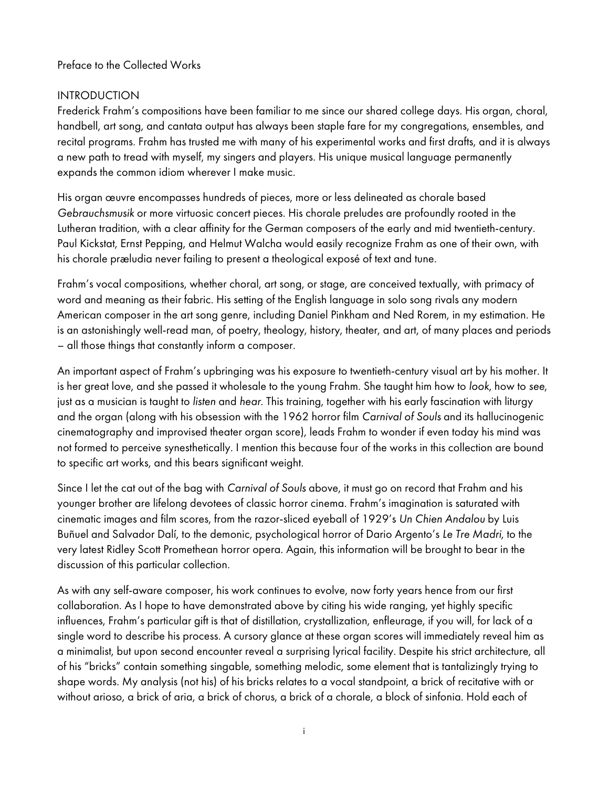#### Preface to the Collected Works

# INTRODUCTION

Frederick Frahm's compositions have been familiar to me since our shared college days. His organ, choral, handbell, art song, and cantata output has always been staple fare for my congregations, ensembles, and recital programs. Frahm has trusted me with many of his experimental works and first drafts, and it is always a new path to tread with myself, my singers and players. His unique musical language permanently expands the common idiom wherever I make music.

His organ œuvre encompasses hundreds of pieces, more or less delineated as chorale based Gebrauchsmusik or more virtuosic concert pieces. His chorale preludes are profoundly rooted in the Lutheran tradition, with a clear affinity for the German composers of the early and mid twentieth-century. Paul Kickstat, Ernst Pepping, and Helmut Walcha would easily recognize Frahm as one of their own, with his chorale præludia never failing to present a theological exposé of text and tune.

Frahm's vocal compositions, whether choral, art song, or stage, are conceived textually, with primacy of word and meaning as their fabric. His setting of the English language in solo song rivals any modern American composer in the art song genre, including Daniel Pinkham and Ned Rorem, in my estimation. He is an astonishingly well-read man, of poetry, theology, history, theater, and art, of many places and periods – all those things that constantly inform a composer.

An important aspect of Frahm's upbringing was his exposure to twentieth-century visual art by his mother. It is her great love, and she passed it wholesale to the young Frahm. She taught him how to look, how to see, just as a musician is taught to listen and hear. This training, together with his early fascination with liturgy and the organ (along with his obsession with the 1962 horror film Carnival of Souls and its hallucinogenic cinematography and improvised theater organ score), leads Frahm to wonder if even today his mind was not formed to perceive synesthetically. I mention this because four of the works in this collection are bound to specific art works, and this bears significant weight.

Since I let the cat out of the bag with Carnival of Souls above, it must go on record that Frahm and his younger brother are lifelong devotees of classic horror cinema. Frahm's imagination is saturated with cinematic images and film scores, from the razor-sliced eyeball of 1929's Un Chien Andalou by Luis Buñuel and Salvador Dalí, to the demonic, psychological horror of Dario Argento's Le Tre Madri, to the very latest Ridley Scott Promethean horror opera. Again, this information will be brought to bear in the discussion of this particular collection.

As with any self-aware composer, his work continues to evolve, now forty years hence from our first collaboration. As I hope to have demonstrated above by citing his wide ranging, yet highly specific influences, Frahm's particular gift is that of distillation, crystallization, enfleurage, if you will, for lack of a single word to describe his process. A cursory glance at these organ scores will immediately reveal him as a minimalist, but upon second encounter reveal a surprising lyrical facility. Despite his strict architecture, all of his "bricks" contain something singable, something melodic, some element that is tantalizingly trying to shape words. My analysis (not his) of his bricks relates to a vocal standpoint, a brick of recitative with or without arioso, a brick of aria, a brick of chorus, a brick of a chorale, a block of sinfonia. Hold each of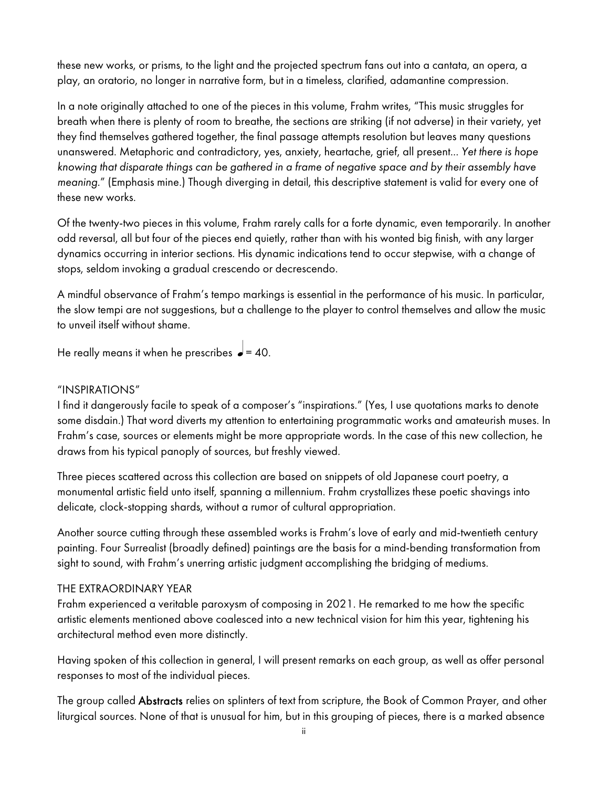these new works, or prisms, to the light and the projected spectrum fans out into a cantata, an opera, a play, an oratorio, no longer in narrative form, but in a timeless, clarified, adamantine compression.

In a note originally attached to one of the pieces in this volume, Frahm writes, "This music struggles for breath when there is plenty of room to breathe, the sections are striking (if not adverse) in their variety, yet they find themselves gathered together, the final passage attempts resolution but leaves many questions unanswered. Metaphoric and contradictory, yes, anxiety, heartache, grief, all present... Yet there is hope knowing that disparate things can be gathered in a frame of negative space and by their assembly have meaning." (Emphasis mine.) Though diverging in detail, this descriptive statement is valid for every one of these new works.

Of the twenty-two pieces in this volume, Frahm rarely calls for a forte dynamic, even temporarily. In another odd reversal, all but four of the pieces end quietly, rather than with his wonted big finish, with any larger dynamics occurring in interior sections. His dynamic indications tend to occur stepwise, with a change of stops, seldom invoking a gradual crescendo or decrescendo.

A mindful observance of Frahm's tempo markings is essential in the performance of his music. In particular, the slow tempi are not suggestions, but a challenge to the player to control themselves and allow the music to unveil itself without shame.

He really means it when he prescribes  $\rightarrow$  = 40.

## "INSPIRATIONS"

I find it dangerously facile to speak of a composer's "inspirations." (Yes, I use quotations marks to denote some disdain.) That word diverts my attention to entertaining programmatic works and amateurish muses. In Frahm's case, sources or elements might be more appropriate words. In the case of this new collection, he draws from his typical panoply of sources, but freshly viewed.

Three pieces scattered across this collection are based on snippets of old Japanese court poetry, a monumental artistic field unto itself, spanning a millennium. Frahm crystallizes these poetic shavings into delicate, clock-stopping shards, without a rumor of cultural appropriation.

Another source cutting through these assembled works is Frahm's love of early and mid-twentieth century painting. Four Surrealist (broadly defined) paintings are the basis for a mind-bending transformation from sight to sound, with Frahm's unerring artistic judgment accomplishing the bridging of mediums.

## THE EXTRAORDINARY YEAR

Frahm experienced a veritable paroxysm of composing in 2021. He remarked to me how the specific artistic elements mentioned above coalesced into a new technical vision for him this year, tightening his architectural method even more distinctly.

Having spoken of this collection in general, I will present remarks on each group, as well as offer personal responses to most of the individual pieces.

The group called Abstracts relies on splinters of text from scripture, the Book of Common Prayer, and other liturgical sources. None of that is unusual for him, but in this grouping of pieces, there is a marked absence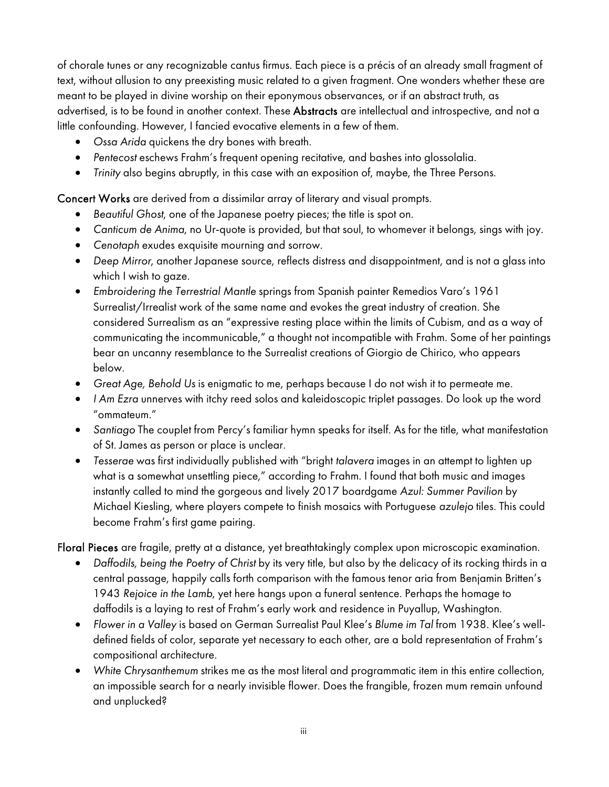of chorale tunes or any recognizable cantus firmus. Each piece is a précis of an already small fragment of text, without allusion to any preexisting music related to a given fragment. One wonders whether these are meant to be played in divine worship on their eponymous observances, or if an abstract truth, as advertised, is to be found in another context. These Abstracts are intellectual and introspective, and not a little confounding. However, I fancied evocative elements in a few of them.

- Ossa Arida quickens the dry bones with breath.
- Pentecost eschews Frahm's frequent opening recitative, and bashes into glossolalia.
- Trinity also begins abruptly, in this case with an exposition of, maybe, the Three Persons.

Concert Works are derived from a dissimilar array of literary and visual prompts.

- Beautiful Ghost, one of the Japanese poetry pieces; the title is spot on.
- Canticum de Anima, no Ur-quote is provided, but that soul, to whomever it belongs, sings with joy.
- Cenotaph exudes exquisite mourning and sorrow.
- Deep Mirror, another Japanese source, reflects distress and disappointment, and is not a glass into which I wish to gaze.
- Embroidering the Terrestrial Mantle springs from Spanish painter Remedios Varo's 1961 Surrealist/Irrealist work of the same name and evokes the great industry of creation. She considered Surrealism as an "expressive resting place within the limits of Cubism, and as a way of communicating the incommunicable," a thought not incompatible with Frahm. Some of her paintings bear an uncanny resemblance to the Surrealist creations of Giorgio de Chirico, who appears below.
- Great Age, Behold Us is enigmatic to me, perhaps because I do not wish it to permeate me.
- I Am Ezra unnerves with itchy reed solos and kaleidoscopic triplet passages. Do look up the word "ommateum."
- Santiago The couplet from Percy's familiar hymn speaks for itself. As for the title, what manifestation of St. James as person or place is unclear.
- Tesserae was first individually published with "bright talavera images in an attempt to lighten up what is a somewhat unsettling piece," according to Frahm. I found that both music and images instantly called to mind the gorgeous and lively 2017 boardgame Azul: Summer Pavilion by Michael Kiesling, where players compete to finish mosaics with Portuguese azulejo tiles. This could become Frahm's first game pairing.

Floral Pieces are fragile, pretty at a distance, yet breathtakingly complex upon microscopic examination.

- Daffodils, being the Poetry of Christ by its very title, but also by the delicacy of its rocking thirds in a central passage, happily calls forth comparison with the famous tenor aria from Benjamin Britten's 1943 Rejoice in the Lamb, yet here hangs upon a funeral sentence. Perhaps the homage to daffodils is a laying to rest of Frahm's early work and residence in Puyallup, Washington.
- Flower in a Valley is based on German Surrealist Paul Klee's Blume im Tal from 1938. Klee's welldefined fields of color, separate yet necessary to each other, are a bold representation of Frahm's compositional architecture.
- White Chrysanthemum strikes me as the most literal and programmatic item in this entire collection, an impossible search for a nearly invisible flower. Does the frangible, frozen mum remain unfound and unplucked?